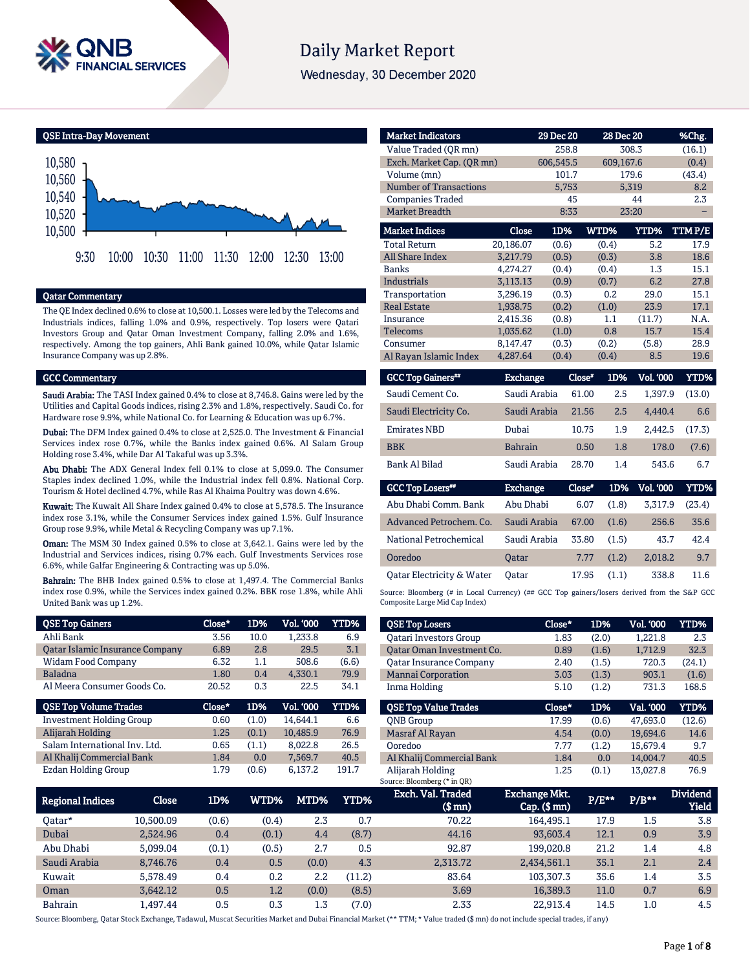

# **Daily Market Report**

Wednesday, 30 December 2020

QSE Intra-Day Movement



#### Qatar Commentary

The QE Index declined 0.6% to close at 10,500.1. Losses were led by the Telecoms and Industrials indices, falling 1.0% and 0.9%, respectively. Top losers were Qatari Investors Group and Qatar Oman Investment Company, falling 2.0% and 1.6%, respectively. Among the top gainers, Ahli Bank gained 10.0%, while Qatar Islamic Insurance Company was up 2.8%.

#### GCC Commentary

Saudi Arabia: The TASI Index gained 0.4% to close at 8,746.8. Gains were led by the Utilities and Capital Goods indices, rising 2.3% and 1.8%, respectively. Saudi Co. for Hardware rose 9.9%, while National Co. for Learning & Education was up 6.7%.

Dubai: The DFM Index gained 0.4% to close at 2,525.0. The Investment & Financial Services index rose 0.7%, while the Banks index gained 0.6%. Al Salam Group Holding rose 3.4%, while Dar Al Takaful was up 3.3%.

Abu Dhabi: The ADX General Index fell 0.1% to close at 5,099.0. The Consumer Staples index declined 1.0%, while the Industrial index fell 0.8%. National Corp. Tourism & Hotel declined 4.7%, while Ras Al Khaima Poultry was down 4.6%.

Kuwait: The Kuwait All Share Index gained 0.4% to close at 5,578.5. The Insurance index rose 3.1%, while the Consumer Services index gained 1.5%. Gulf Insurance Group rose 9.9%, while Metal & Recycling Company was up 7.1%.

Oman: The MSM 30 Index gained 0.5% to close at 3,642.1. Gains were led by the Industrial and Services indices, rising 0.7% each. Gulf Investments Services rose 6.6%, while Galfar Engineering & Contracting was up 5.0%.

Bahrain: The BHB Index gained 0.5% to close at 1,497.4. The Commercial Banks index rose 0.9%, while the Services index gained 0.2%. BBK rose 1.8%, while Ahli United Bank was up 1.2%.

| <b>QSE Top Gainers</b>          | Close* | 1D%   | Vol. '000 | YTD%  |
|---------------------------------|--------|-------|-----------|-------|
| Ahli Bank                       | 3.56   | 10.0  | 1,233.8   | 6.9   |
| Qatar Islamic Insurance Company | 6.89   | 2.8   | 29.5      | 3.1   |
| <b>Widam Food Company</b>       | 6.32   | 1.1   | 508.6     | (6.6) |
| <b>Baladna</b>                  | 1.80   | 0.4   | 4.330.1   | 79.9  |
| Al Meera Consumer Goods Co.     | 20.52  | 0.3   | 22.5      | 34.1  |
|                                 |        |       |           |       |
| <b>QSE Top Volume Trades</b>    | Close* | 1D%   | Vol. '000 | YTD%  |
| <b>Investment Holding Group</b> | 0.60   | (1.0) | 14.644.1  | 6.6   |
| Alijarah Holding                | 1.25   | (0.1) | 10,485.9  | 76.9  |
| Salam International Inv. Ltd.   | 0.65   | (1.1) | 8,022.8   | 26.5  |
| Al Khalij Commercial Bank       | 1.84   | 0.0   | 7,569.7   | 40.5  |

| <b>Market Indicators</b>  |                 | 29 Dec 20 |        | 28 Dec 20 |                  | %Chg.  |
|---------------------------|-----------------|-----------|--------|-----------|------------------|--------|
| Value Traded (OR mn)      |                 | 258.8     |        |           | 308.3            | (16.1) |
| Exch. Market Cap. (QR mn) |                 | 606,545.5 |        | 609,167.6 |                  | (0.4)  |
| Volume (mn)               |                 | 101.7     |        |           | 179.6            | (43.4) |
| Number of Transactions    |                 | 5,753     |        |           | 5,319            | 8.2    |
| <b>Companies Traded</b>   |                 |           | 45     |           | 44               | 2.3    |
| Market Breadth            |                 |           | 8:33   |           | 23:20            |        |
| <b>Market Indices</b>     | Close           | 1D%       |        | WTD%      | YTD%             | TTMP/E |
| <b>Total Return</b>       | 20,186.07       | (0.6)     |        | (0.4)     | 5.2              | 17.9   |
| <b>All Share Index</b>    | 3.217.79        | (0.5)     |        | (0.3)     | 3.8              | 18.6   |
| <b>Banks</b>              | 4,274.27        | (0.4)     |        | (0.4)     | 1.3              | 15.1   |
| <b>Industrials</b>        | 3,113.13        | (0.9)     |        | (0.7)     | 6.2              | 27.8   |
| Transportation            | 3.296.19        | (0.3)     |        | 0.2       | 29.0             | 15.1   |
| <b>Real Estate</b>        | 1.938.75        | (0.2)     |        | (1.0)     | 23.9             | 17.1   |
| Insurance                 | 2,415.36        | (0.8)     |        | 1.1       | (11.7)           | N.A.   |
| <b>Telecoms</b>           | 1,035.62        | (1.0)     |        | 0.8       | 15.7             | 15.4   |
| Consumer                  | 8,147.47        | (0.3)     |        | (0.2)     | (5.8)            | 28.9   |
| Al Rayan Islamic Index    | 4,287.64        | (0.4)     |        | (0.4)     | 8.5              | 19.6   |
| <b>GCC Top Gainers**</b>  | <b>Exchange</b> |           | Close* | 1D%       | <b>Vol. '000</b> | YTD%   |
| Saudi Cement Co.          | Saudi Arabia    |           | 61.00  | 2.5       | 1,397.9          | (13.0) |
| Saudi Electricity Co.     | Saudi Arabia    |           | 21.56  | 2.5       | 4.440.4          | 6.6    |
| <b>Emirates NBD</b>       | Dubai           |           | 10.75  | 1.9       | 2.442.5          | (17.3) |
| <b>BBK</b>                | <b>Bahrain</b>  |           | 0.50   | 1.8       | 178.0            | (7.6)  |
| Bank Al Bilad             | Saudi Arabia    |           | 28.70  | 1.4       | 543.6            | 6.7    |

| <b>GCC Top Losers**</b>   | <b>Exchange</b> | Close* | 1D%   | Vol. '000 | YTD%   |
|---------------------------|-----------------|--------|-------|-----------|--------|
| Abu Dhabi Comm. Bank      | Abu Dhabi       | 6.07   | (1.8) | 3.317.9   | (23.4) |
| Advanced Petrochem, Co.   | Saudi Arabia    | 67.00  | (1.6) | 256.6     | 35.6   |
| National Petrochemical    | Saudi Arabia    | 33.80  | (1.5) | 43.7      | 42.4   |
| Ooredoo                   | <b>Oatar</b>    | 7.77   | (1.2) | 2,018.2   | 9.7    |
| Oatar Electricity & Water | Oatar           | 17.95  | (1.1) | 338.8     | 11.6   |

Source: Bloomberg (# in Local Currency) (## GCC Top gainers/losers derived from the S&P GCC Composite Large Mid Cap Index)

| <b>QSE Top Losers</b>          | Close* | 1D%   | <b>Vol. '000</b> | <b>YTD%</b> |
|--------------------------------|--------|-------|------------------|-------------|
| <b>Oatari Investors Group</b>  | 1.83   | (2.0) | 1,221.8          | 2.3         |
| Oatar Oman Investment Co.      | 0.89   | (1.6) | 1.712.9          | 32.3        |
| <b>Oatar Insurance Company</b> | 2.40   | (1.5) | 720.3            | (24.1)      |
| <b>Mannai Corporation</b>      | 3.03   | (1.3) | 903.1            | (1.6)       |
| Inma Holding                   | 5.10   | (1.2) | 731.3            | 168.5       |
|                                |        |       |                  |             |
|                                |        |       |                  |             |
| <b>OSE Top Value Trades</b>    | Close* | 1D%   | Val. '000        | YTD%        |
| <b>ONB</b> Group               | 17.99  | (0.6) | 47.693.0         | (12.6)      |
| Masraf Al Rayan                | 4.54   | (0.0) | 19.694.6         | 14.6        |
| Ooredoo                        | 7.77   | (1.2) | 15.679.4         | 9.7         |
| Al Khalij Commercial Bank      | 1.84   | 0.0   | 14.004.7         | 40.5        |

| Regional Indices | Close     | 1D%   | WTD%' | MTD%    | YTD%   | Exch. Val. Traded<br>$$$ mn $)$ | Exchange Mkt.<br>$Cap.$ ( $$rm)$ ) | P/E** | $P/B**$ | <b>Dividend</b><br><b>Yield</b> |
|------------------|-----------|-------|-------|---------|--------|---------------------------------|------------------------------------|-------|---------|---------------------------------|
| 0atar*           | 10.500.09 | (0.6) | (0.4) | 2.3     | 0.7    | 70.22                           | 164,495.1                          | 17.9  | 1.5     | 3.8                             |
| Dubai            | 2.524.96  | 0.4   | (0.1) | 4.4     | (8.7)  | 44.16                           | 93,603.4                           | 12.1  | 0.9     | 3.9                             |
| Abu Dhabi        | 5.099.04  | (0.1) | (0.5) | 2.7     | 0.5    | 92.87                           | 199.020.8                          | 21.2  | 1.4     | 4.8                             |
| Saudi Arabia     | 8.746.76  | 0.4   | 0.5   | (0.0)   | 4.3    | 2.313.72                        | 2,434,561.1                        | 35.1  | 2.1     | 2.4                             |
| Kuwait           | 5.578.49  | 0.4   | 0.2   | $2.2\,$ | (11.2) | 83.64                           | 103.307.3                          | 35.6  | 1.4     | 3.5                             |
| Oman             | 3.642.12  | 0.5   | 1.2   | (0.0)   | (8.5)  | 3.69                            | 16.389.3                           | 11.0  | 0.7     | 6.9                             |
| Bahrain          | .497.44   | 0.5   | 0.3   | 1.3     | (7.0)  | 2.33                            | 22.913.4                           | 14.5  | $1.0\,$ | 4.5                             |

Source: Bloomberg, Qatar Stock Exchange, Tadawul, Muscat Securities Market and Dubai Financial Market (\*\* TTM; \* Value traded (\$ mn) do not include special trades, if any)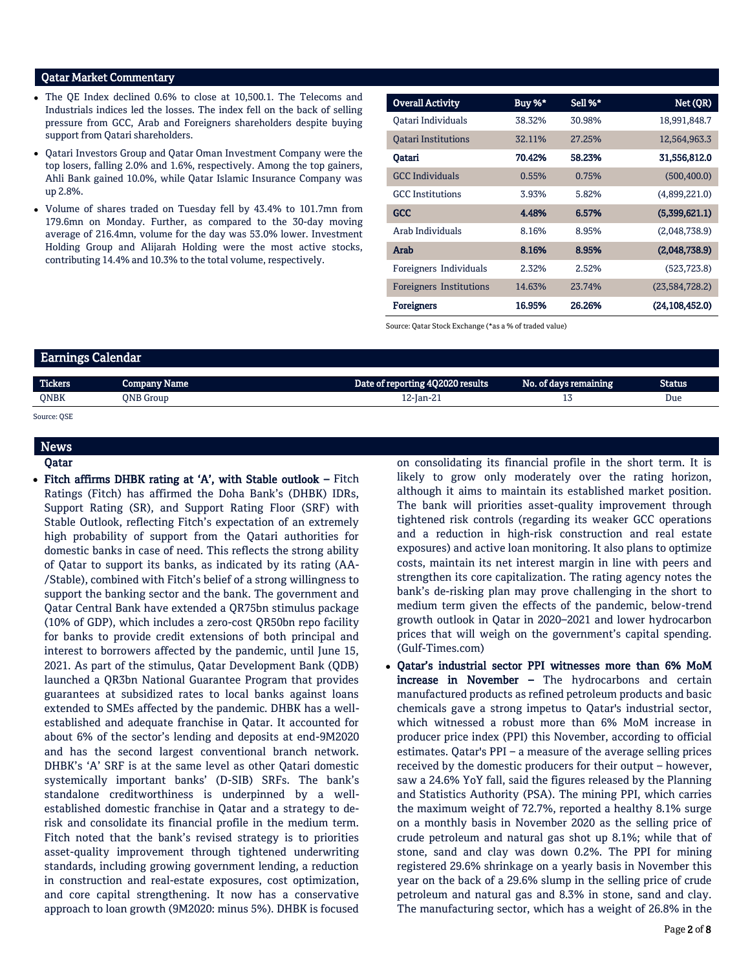## Qatar Market Commentary

- The OE Index declined 0.6% to close at 10.500.1. The Telecoms and Industrials indices led the losses. The index fell on the back of selling pressure from GCC, Arab and Foreigners shareholders despite buying support from Qatari shareholders.
- Qatari Investors Group and Qatar Oman Investment Company were the top losers, falling 2.0% and 1.6%, respectively. Among the top gainers, Ahli Bank gained 10.0%, while Qatar Islamic Insurance Company was up 2.8%.
- Volume of shares traded on Tuesday fell by 43.4% to 101.7mn from 179.6mn on Monday. Further, as compared to the 30-day moving average of 216.4mn, volume for the day was 53.0% lower. Investment Holding Group and Alijarah Holding were the most active stocks, contributing 14.4% and 10.3% to the total volume, respectively.

| <b>Overall Activity</b>    | Buy %* | Sell %* | Net (QR)       |
|----------------------------|--------|---------|----------------|
| Oatari Individuals         | 38.32% | 30.98%  | 18,991,848.7   |
| <b>Oatari Institutions</b> | 32.11% | 27.25%  | 12,564,963.3   |
| Qatari                     | 70.42% | 58.23%  | 31,556,812.0   |
| <b>GCC</b> Individuals     | 0.55%  | 0.75%   | (500, 400.0)   |
| <b>GCC</b> Institutions    | 3.93%  | 5.82%   | (4,899,221.0)  |
| <b>GCC</b>                 | 4.48%  | 6.57%   | (5,399,621.1)  |
| Arab Individuals           | 8.16%  | 8.95%   | (2,048,738.9)  |
| Arab                       | 8.16%  | 8.95%   | (2,048,738.9)  |
| Foreigners Individuals     | 2.32%  | 2.52%   | (523, 723.8)   |
| Foreigners Institutions    | 14.63% | 23.74%  | (23,584,728.2) |
| <b>Foreigners</b>          | 16.95% | 26.26%  | (24.108.452.0) |

Source: Qatar Stock Exchange (\*as a % of traded value)

# Earnings Calendar

| <b>Tickers</b> | Company Name | Date of reporting 4Q2020 results | No. of days remaining | Status |
|----------------|--------------|----------------------------------|-----------------------|--------|
| QNBK           | ONB Group    | 12-Jan-21                        |                       | Due    |
| Source: OSE    |              |                                  |                       |        |

**News** 

#### Qatar

 Fitch affirms DHBK rating at 'A', with Stable outlook – Fitch Ratings (Fitch) has affirmed the Doha Bank's (DHBK) IDRs, Support Rating (SR), and Support Rating Floor (SRF) with Stable Outlook, reflecting Fitch's expectation of an extremely high probability of support from the Qatari authorities for domestic banks in case of need. This reflects the strong ability of Qatar to support its banks, as indicated by its rating (AA- /Stable), combined with Fitch's belief of a strong willingness to support the banking sector and the bank. The government and Qatar Central Bank have extended a QR75bn stimulus package (10% of GDP), which includes a zero-cost QR50bn repo facility for banks to provide credit extensions of both principal and interest to borrowers affected by the pandemic, until June 15, 2021. As part of the stimulus, Qatar Development Bank (QDB) launched a QR3bn National Guarantee Program that provides guarantees at subsidized rates to local banks against loans extended to SMEs affected by the pandemic. DHBK has a wellestablished and adequate franchise in Qatar. It accounted for about 6% of the sector's lending and deposits at end-9M2020 and has the second largest conventional branch network. DHBK's 'A' SRF is at the same level as other Qatari domestic systemically important banks' (D-SIB) SRFs. The bank's standalone creditworthiness is underpinned by a wellestablished domestic franchise in Qatar and a strategy to derisk and consolidate its financial profile in the medium term. Fitch noted that the bank's revised strategy is to priorities asset-quality improvement through tightened underwriting standards, including growing government lending, a reduction in construction and real-estate exposures, cost optimization, and core capital strengthening. It now has a conservative approach to loan growth (9M2020: minus 5%). DHBK is focused on consolidating its financial profile in the short term. It is likely to grow only moderately over the rating horizon, although it aims to maintain its established market position. The bank will priorities asset-quality improvement through tightened risk controls (regarding its weaker GCC operations and a reduction in high-risk construction and real estate exposures) and active loan monitoring. It also plans to optimize costs, maintain its net interest margin in line with peers and strengthen its core capitalization. The rating agency notes the bank's de-risking plan may prove challenging in the short to medium term given the effects of the pandemic, below-trend growth outlook in Qatar in 2020–2021 and lower hydrocarbon prices that will weigh on the government's capital spending. (Gulf-Times.com)

 Qatar's industrial sector PPI witnesses more than 6% MoM increase in November – The hydrocarbons and certain manufactured products as refined petroleum products and basic chemicals gave a strong impetus to Qatar's industrial sector, which witnessed a robust more than 6% MoM increase in producer price index (PPI) this November, according to official estimates. Qatar's PPI – a measure of the average selling prices received by the domestic producers for their output – however, saw a 24.6% YoY fall, said the figures released by the Planning and Statistics Authority (PSA). The mining PPI, which carries the maximum weight of 72.7%, reported a healthy 8.1% surge on a monthly basis in November 2020 as the selling price of crude petroleum and natural gas shot up 8.1%; while that of stone, sand and clay was down 0.2%. The PPI for mining registered 29.6% shrinkage on a yearly basis in November this year on the back of a 29.6% slump in the selling price of crude petroleum and natural gas and 8.3% in stone, sand and clay. The manufacturing sector, which has a weight of 26.8% in the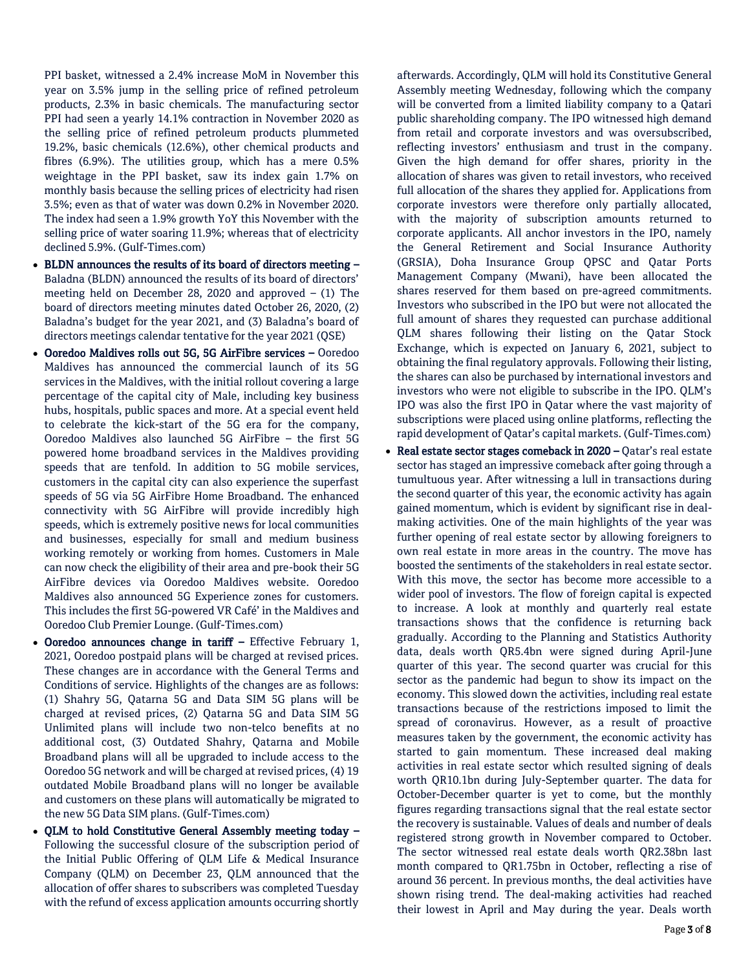PPI basket, witnessed a 2.4% increase MoM in November this year on 3.5% jump in the selling price of refined petroleum products, 2.3% in basic chemicals. The manufacturing sector PPI had seen a yearly 14.1% contraction in November 2020 as the selling price of refined petroleum products plummeted 19.2%, basic chemicals (12.6%), other chemical products and fibres (6.9%). The utilities group, which has a mere 0.5% weightage in the PPI basket, saw its index gain 1.7% on monthly basis because the selling prices of electricity had risen 3.5%; even as that of water was down 0.2% in November 2020. The index had seen a 1.9% growth YoY this November with the selling price of water soaring 11.9%; whereas that of electricity declined 5.9%. (Gulf-Times.com)

- BLDN announces the results of its board of directors meeting Baladna (BLDN) announced the results of its board of directors' meeting held on December 28, 2020 and approved  $-$  (1) The board of directors meeting minutes dated October 26, 2020, (2) Baladna's budget for the year 2021, and (3) Baladna's board of directors meetings calendar tentative for the year 2021 (QSE)
- Ooredoo Maldives rolls out 5G, 5G AirFibre services Ooredoo Maldives has announced the commercial launch of its 5G services in the Maldives, with the initial rollout covering a large percentage of the capital city of Male, including key business hubs, hospitals, public spaces and more. At a special event held to celebrate the kick-start of the 5G era for the company, Ooredoo Maldives also launched 5G AirFibre – the first 5G powered home broadband services in the Maldives providing speeds that are tenfold. In addition to 5G mobile services, customers in the capital city can also experience the superfast speeds of 5G via 5G AirFibre Home Broadband. The enhanced connectivity with 5G AirFibre will provide incredibly high speeds, which is extremely positive news for local communities and businesses, especially for small and medium business working remotely or working from homes. Customers in Male can now check the eligibility of their area and pre-book their 5G AirFibre devices via Ooredoo Maldives website. Ooredoo Maldives also announced 5G Experience zones for customers. This includes the first 5G-powered VR Café' in the Maldives and Ooredoo Club Premier Lounge. (Gulf-Times.com)
- Ooredoo announces change in tariff Effective February 1, 2021, Ooredoo postpaid plans will be charged at revised prices. These changes are in accordance with the General Terms and Conditions of service. Highlights of the changes are as follows: (1) Shahry 5G, Qatarna 5G and Data SIM 5G plans will be charged at revised prices, (2) Qatarna 5G and Data SIM 5G Unlimited plans will include two non-telco benefits at no additional cost, (3) Outdated Shahry, Qatarna and Mobile Broadband plans will all be upgraded to include access to the Ooredoo 5G network and will be charged at revised prices, (4) 19 outdated Mobile Broadband plans will no longer be available and customers on these plans will automatically be migrated to the new 5G Data SIM plans. (Gulf-Times.com)
- OLM to hold Constitutive General Assembly meeting today Following the successful closure of the subscription period of the Initial Public Offering of QLM Life & Medical Insurance Company (QLM) on December 23, QLM announced that the allocation of offer shares to subscribers was completed Tuesday with the refund of excess application amounts occurring shortly

afterwards. Accordingly, QLM will hold its Constitutive General Assembly meeting Wednesday, following which the company will be converted from a limited liability company to a Qatari public shareholding company. The IPO witnessed high demand from retail and corporate investors and was oversubscribed, reflecting investors' enthusiasm and trust in the company. Given the high demand for offer shares, priority in the allocation of shares was given to retail investors, who received full allocation of the shares they applied for. Applications from corporate investors were therefore only partially allocated, with the majority of subscription amounts returned to corporate applicants. All anchor investors in the IPO, namely the General Retirement and Social Insurance Authority (GRSIA), Doha Insurance Group QPSC and Qatar Ports Management Company (Mwani), have been allocated the shares reserved for them based on pre-agreed commitments. Investors who subscribed in the IPO but were not allocated the full amount of shares they requested can purchase additional QLM shares following their listing on the Qatar Stock Exchange, which is expected on January 6, 2021, subject to obtaining the final regulatory approvals. Following their listing, the shares can also be purchased by international investors and investors who were not eligible to subscribe in the IPO. QLM's IPO was also the first IPO in Qatar where the vast majority of subscriptions were placed using online platforms, reflecting the rapid development of Qatar's capital markets. (Gulf-Times.com)

 Real estate sector stages comeback in 2020 – Qatar's real estate sector has staged an impressive comeback after going through a tumultuous year. After witnessing a lull in transactions during the second quarter of this year, the economic activity has again gained momentum, which is evident by significant rise in dealmaking activities. One of the main highlights of the year was further opening of real estate sector by allowing foreigners to own real estate in more areas in the country. The move has boosted the sentiments of the stakeholders in real estate sector. With this move, the sector has become more accessible to a wider pool of investors. The flow of foreign capital is expected to increase. A look at monthly and quarterly real estate transactions shows that the confidence is returning back gradually. According to the Planning and Statistics Authority data, deals worth QR5.4bn were signed during April-June quarter of this year. The second quarter was crucial for this sector as the pandemic had begun to show its impact on the economy. This slowed down the activities, including real estate transactions because of the restrictions imposed to limit the spread of coronavirus. However, as a result of proactive measures taken by the government, the economic activity has started to gain momentum. These increased deal making activities in real estate sector which resulted signing of deals worth QR10.1bn during July-September quarter. The data for October-December quarter is yet to come, but the monthly figures regarding transactions signal that the real estate sector the recovery is sustainable. Values of deals and number of deals registered strong growth in November compared to October. The sector witnessed real estate deals worth QR2.38bn last month compared to QR1.75bn in October, reflecting a rise of around 36 percent. In previous months, the deal activities have shown rising trend. The deal-making activities had reached their lowest in April and May during the year. Deals worth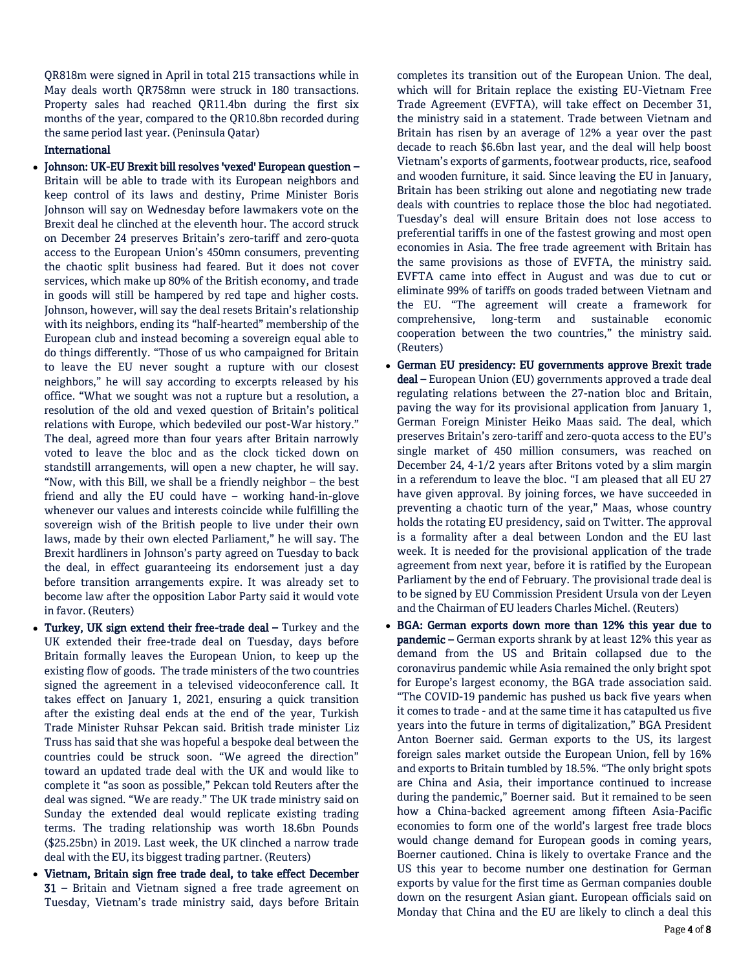QR818m were signed in April in total 215 transactions while in May deals worth QR758mn were struck in 180 transactions. Property sales had reached QR11.4bn during the first six months of the year, compared to the QR10.8bn recorded during the same period last year. (Peninsula Qatar)

## International

- Johnson: UK-EU Brexit bill resolves 'vexed' European question Britain will be able to trade with its European neighbors and keep control of its laws and destiny, Prime Minister Boris Johnson will say on Wednesday before lawmakers vote on the Brexit deal he clinched at the eleventh hour. The accord struck on December 24 preserves Britain's zero-tariff and zero-quota access to the European Union's 450mn consumers, preventing the chaotic split business had feared. But it does not cover services, which make up 80% of the British economy, and trade in goods will still be hampered by red tape and higher costs. Johnson, however, will say the deal resets Britain's relationship with its neighbors, ending its "half-hearted" membership of the European club and instead becoming a sovereign equal able to do things differently. "Those of us who campaigned for Britain to leave the EU never sought a rupture with our closest neighbors," he will say according to excerpts released by his office. "What we sought was not a rupture but a resolution, a resolution of the old and vexed question of Britain's political relations with Europe, which bedeviled our post-War history." The deal, agreed more than four years after Britain narrowly voted to leave the bloc and as the clock ticked down on standstill arrangements, will open a new chapter, he will say. "Now, with this Bill, we shall be a friendly neighbor – the best friend and ally the EU could have – working hand-in-glove whenever our values and interests coincide while fulfilling the sovereign wish of the British people to live under their own laws, made by their own elected Parliament," he will say. The Brexit hardliners in Johnson's party agreed on Tuesday to back the deal, in effect guaranteeing its endorsement just a day before transition arrangements expire. It was already set to become law after the opposition Labor Party said it would vote in favor. (Reuters)
- Turkey, UK sign extend their free-trade deal Turkey and the UK extended their free-trade deal on Tuesday, days before Britain formally leaves the European Union, to keep up the existing flow of goods. The trade ministers of the two countries signed the agreement in a televised videoconference call. It takes effect on January 1, 2021, ensuring a quick transition after the existing deal ends at the end of the year, Turkish Trade Minister Ruhsar Pekcan said. British trade minister Liz Truss has said that she was hopeful a bespoke deal between the countries could be struck soon. "We agreed the direction" toward an updated trade deal with the UK and would like to complete it "as soon as possible," Pekcan told Reuters after the deal was signed. "We are ready." The UK trade ministry said on Sunday the extended deal would replicate existing trading terms. The trading relationship was worth 18.6bn Pounds (\$25.25bn) in 2019. Last week, the UK clinched a narrow trade deal with the EU, its biggest trading partner. (Reuters)
- Vietnam, Britain sign free trade deal, to take effect December 31 – Britain and Vietnam signed a free trade agreement on Tuesday, Vietnam's trade ministry said, days before Britain

completes its transition out of the European Union. The deal, which will for Britain replace the existing EU-Vietnam Free Trade Agreement (EVFTA), will take effect on December 31, the ministry said in a statement. Trade between Vietnam and Britain has risen by an average of 12% a year over the past decade to reach \$6.6bn last year, and the deal will help boost Vietnam's exports of garments, footwear products, rice, seafood and wooden furniture, it said. Since leaving the EU in January, Britain has been striking out alone and negotiating new trade deals with countries to replace those the bloc had negotiated. Tuesday's deal will ensure Britain does not lose access to preferential tariffs in one of the fastest growing and most open economies in Asia. The free trade agreement with Britain has the same provisions as those of EVFTA, the ministry said. EVFTA came into effect in August and was due to cut or eliminate 99% of tariffs on goods traded between Vietnam and the EU. "The agreement will create a framework for comprehensive, long-term and sustainable economic cooperation between the two countries," the ministry said. (Reuters)

- German EU presidency: EU governments approve Brexit trade deal – European Union (EU) governments approved a trade deal regulating relations between the 27-nation bloc and Britain, paving the way for its provisional application from January 1, German Foreign Minister Heiko Maas said. The deal, which preserves Britain's zero-tariff and zero-quota access to the EU's single market of 450 million consumers, was reached on December 24, 4-1/2 years after Britons voted by a slim margin in a referendum to leave the bloc. "I am pleased that all EU 27 have given approval. By joining forces, we have succeeded in preventing a chaotic turn of the year," Maas, whose country holds the rotating EU presidency, said on Twitter. The approval is a formality after a deal between London and the EU last week. It is needed for the provisional application of the trade agreement from next year, before it is ratified by the European Parliament by the end of February. The provisional trade deal is to be signed by EU Commission President Ursula von der Leyen and the Chairman of EU leaders Charles Michel. (Reuters)
- BGA: German exports down more than 12% this year due to pandemic – German exports shrank by at least 12% this year as demand from the US and Britain collapsed due to the coronavirus pandemic while Asia remained the only bright spot for Europe's largest economy, the BGA trade association said. "The COVID-19 pandemic has pushed us back five years when it comes to trade - and at the same time it has catapulted us five years into the future in terms of digitalization," BGA President Anton Boerner said. German exports to the US, its largest foreign sales market outside the European Union, fell by 16% and exports to Britain tumbled by 18.5%. "The only bright spots are China and Asia, their importance continued to increase during the pandemic," Boerner said. But it remained to be seen how a China-backed agreement among fifteen Asia-Pacific economies to form one of the world's largest free trade blocs would change demand for European goods in coming years, Boerner cautioned. China is likely to overtake France and the US this year to become number one destination for German exports by value for the first time as German companies double down on the resurgent Asian giant. European officials said on Monday that China and the EU are likely to clinch a deal this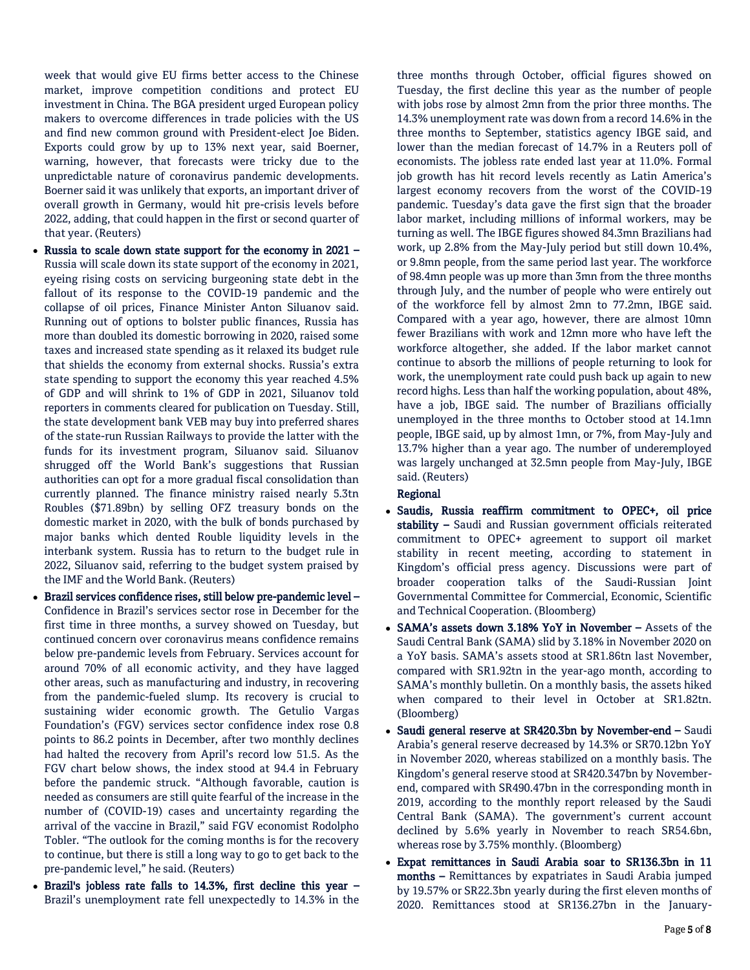week that would give EU firms better access to the Chinese market, improve competition conditions and protect EU investment in China. The BGA president urged European policy makers to overcome differences in trade policies with the US and find new common ground with President-elect Joe Biden. Exports could grow by up to 13% next year, said Boerner, warning, however, that forecasts were tricky due to the unpredictable nature of coronavirus pandemic developments. Boerner said it was unlikely that exports, an important driver of overall growth in Germany, would hit pre-crisis levels before 2022, adding, that could happen in the first or second quarter of that year. (Reuters)

- Russia to scale down state support for the economy in 2021 Russia will scale down its state support of the economy in 2021, eyeing rising costs on servicing burgeoning state debt in the fallout of its response to the COVID-19 pandemic and the collapse of oil prices, Finance Minister Anton Siluanov said. Running out of options to bolster public finances, Russia has more than doubled its domestic borrowing in 2020, raised some taxes and increased state spending as it relaxed its budget rule that shields the economy from external shocks. Russia's extra state spending to support the economy this year reached 4.5% of GDP and will shrink to 1% of GDP in 2021, Siluanov told reporters in comments cleared for publication on Tuesday. Still, the state development bank VEB may buy into preferred shares of the state-run Russian Railways to provide the latter with the funds for its investment program, Siluanov said. Siluanov shrugged off the World Bank's suggestions that Russian authorities can opt for a more gradual fiscal consolidation than currently planned. The finance ministry raised nearly 5.3tn Roubles (\$71.89bn) by selling OFZ treasury bonds on the domestic market in 2020, with the bulk of bonds purchased by major banks which dented Rouble liquidity levels in the interbank system. Russia has to return to the budget rule in 2022, Siluanov said, referring to the budget system praised by the IMF and the World Bank. (Reuters)
- Brazil services confidence rises, still below pre-pandemic level Confidence in Brazil's services sector rose in December for the first time in three months, a survey showed on Tuesday, but continued concern over coronavirus means confidence remains below pre-pandemic levels from February. Services account for around 70% of all economic activity, and they have lagged other areas, such as manufacturing and industry, in recovering from the pandemic-fueled slump. Its recovery is crucial to sustaining wider economic growth. The Getulio Vargas Foundation's (FGV) services sector confidence index rose 0.8 points to 86.2 points in December, after two monthly declines had halted the recovery from April's record low 51.5. As the FGV chart below shows, the index stood at 94.4 in February before the pandemic struck. "Although favorable, caution is needed as consumers are still quite fearful of the increase in the number of (COVID-19) cases and uncertainty regarding the arrival of the vaccine in Brazil," said FGV economist Rodolpho Tobler. "The outlook for the coming months is for the recovery to continue, but there is still a long way to go to get back to the pre-pandemic level," he said. (Reuters)
- Brazil's jobless rate falls to 14.3%, first decline this year Brazil's unemployment rate fell unexpectedly to 14.3% in the

three months through October, official figures showed on Tuesday, the first decline this year as the number of people with jobs rose by almost 2mn from the prior three months. The 14.3% unemployment rate was down from a record 14.6% in the three months to September, statistics agency IBGE said, and lower than the median forecast of 14.7% in a Reuters poll of economists. The jobless rate ended last year at 11.0%. Formal job growth has hit record levels recently as Latin America's largest economy recovers from the worst of the COVID-19 pandemic. Tuesday's data gave the first sign that the broader labor market, including millions of informal workers, may be turning as well. The IBGE figures showed 84.3mn Brazilians had work, up 2.8% from the May-July period but still down 10.4%, or 9.8mn people, from the same period last year. The workforce of 98.4mn people was up more than 3mn from the three months through July, and the number of people who were entirely out of the workforce fell by almost 2mn to 77.2mn, IBGE said. Compared with a year ago, however, there are almost 10mn fewer Brazilians with work and 12mn more who have left the workforce altogether, she added. If the labor market cannot continue to absorb the millions of people returning to look for work, the unemployment rate could push back up again to new record highs. Less than half the working population, about 48%, have a job, IBGE said. The number of Brazilians officially unemployed in the three months to October stood at 14.1mn people, IBGE said, up by almost 1mn, or 7%, from May-July and 13.7% higher than a year ago. The number of underemployed was largely unchanged at 32.5mn people from May-July, IBGE said. (Reuters)

## Regional

- Saudis, Russia reaffirm commitment to OPEC+, oil price stability - Saudi and Russian government officials reiterated commitment to OPEC+ agreement to support oil market stability in recent meeting, according to statement in Kingdom's official press agency. Discussions were part of broader cooperation talks of the Saudi-Russian Joint Governmental Committee for Commercial, Economic, Scientific and Technical Cooperation. (Bloomberg)
- SAMA's assets down 3.18% YoY in November Assets of the Saudi Central Bank (SAMA) slid by 3.18% in November 2020 on a YoY basis. SAMA's assets stood at SR1.86tn last November, compared with SR1.92tn in the year-ago month, according to SAMA's monthly bulletin. On a monthly basis, the assets hiked when compared to their level in October at SR1.82tn. (Bloomberg)
- Saudi general reserve at SR420.3bn by November-end Saudi Arabia's general reserve decreased by 14.3% or SR70.12bn YoY in November 2020, whereas stabilized on a monthly basis. The Kingdom's general reserve stood at SR420.347bn by Novemberend, compared with SR490.47bn in the corresponding month in 2019, according to the monthly report released by the Saudi Central Bank (SAMA). The government's current account declined by 5.6% yearly in November to reach SR54.6bn, whereas rose by 3.75% monthly. (Bloomberg)
- Expat remittances in Saudi Arabia soar to SR136.3bn in 11 months – Remittances by expatriates in Saudi Arabia jumped by 19.57% or SR22.3bn yearly during the first eleven months of 2020. Remittances stood at SR136.27bn in the January-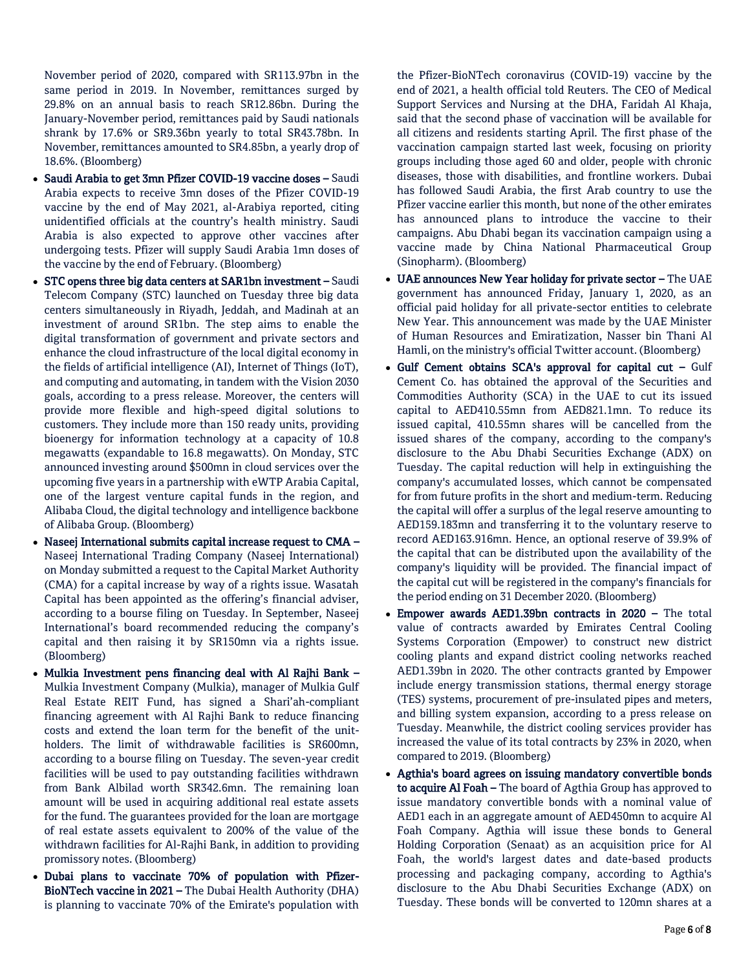November period of 2020, compared with SR113.97bn in the same period in 2019. In November, remittances surged by 29.8% on an annual basis to reach SR12.86bn. During the January-November period, remittances paid by Saudi nationals shrank by 17.6% or SR9.36bn yearly to total SR43.78bn. In November, remittances amounted to SR4.85bn, a yearly drop of 18.6%. (Bloomberg)

- Saudi Arabia to get 3mn Pfizer COVID-19 vaccine doses Saudi Arabia expects to receive 3mn doses of the Pfizer COVID-19 vaccine by the end of May 2021, al-Arabiya reported, citing unidentified officials at the country's health ministry. Saudi Arabia is also expected to approve other vaccines after undergoing tests. Pfizer will supply Saudi Arabia 1mn doses of the vaccine by the end of February. (Bloomberg)
- STC opens three big data centers at SAR1bn investment Saudi Telecom Company (STC) launched on Tuesday three big data centers simultaneously in Riyadh, Jeddah, and Madinah at an investment of around SR1bn. The step aims to enable the digital transformation of government and private sectors and enhance the cloud infrastructure of the local digital economy in the fields of artificial intelligence (AI), Internet of Things (IoT), and computing and automating, in tandem with the Vision 2030 goals, according to a press release. Moreover, the centers will provide more flexible and high-speed digital solutions to customers. They include more than 150 ready units, providing bioenergy for information technology at a capacity of 10.8 megawatts (expandable to 16.8 megawatts). On Monday, STC announced investing around \$500mn in cloud services over the upcoming five years in a partnership with eWTP Arabia Capital, one of the largest venture capital funds in the region, and Alibaba Cloud, the digital technology and intelligence backbone of Alibaba Group. (Bloomberg)
- Naseej International submits capital increase request to CMA Naseej International Trading Company (Naseej International) on Monday submitted a request to the Capital Market Authority (CMA) for a capital increase by way of a rights issue. Wasatah Capital has been appointed as the offering's financial adviser, according to a bourse filing on Tuesday. In September, Naseej International's board recommended reducing the company's capital and then raising it by SR150mn via a rights issue. (Bloomberg)
- Mulkia Investment pens financing deal with Al Rajhi Bank Mulkia Investment Company (Mulkia), manager of Mulkia Gulf Real Estate REIT Fund, has signed a Shari'ah-compliant financing agreement with Al Rajhi Bank to reduce financing costs and extend the loan term for the benefit of the unitholders. The limit of withdrawable facilities is SR600mn, according to a bourse filing on Tuesday. The seven-year credit facilities will be used to pay outstanding facilities withdrawn from Bank Albilad worth SR342.6mn. The remaining loan amount will be used in acquiring additional real estate assets for the fund. The guarantees provided for the loan are mortgage of real estate assets equivalent to 200% of the value of the withdrawn facilities for Al-Rajhi Bank, in addition to providing promissory notes. (Bloomberg)
- Dubai plans to vaccinate 70% of population with Pfizer-BioNTech vaccine in 2021 – The Dubai Health Authority (DHA) is planning to vaccinate 70% of the Emirate's population with

the Pfizer-BioNTech coronavirus (COVID-19) vaccine by the end of 2021, a health official told Reuters. The CEO of Medical Support Services and Nursing at the DHA, Faridah Al Khaja, said that the second phase of vaccination will be available for all citizens and residents starting April. The first phase of the vaccination campaign started last week, focusing on priority groups including those aged 60 and older, people with chronic diseases, those with disabilities, and frontline workers. Dubai has followed Saudi Arabia, the first Arab country to use the Pfizer vaccine earlier this month, but none of the other emirates has announced plans to introduce the vaccine to their campaigns. Abu Dhabi began its vaccination campaign using a vaccine made by China National Pharmaceutical Group (Sinopharm). (Bloomberg)

- UAE announces New Year holiday for private sector The UAE government has announced Friday, January 1, 2020, as an official paid holiday for all private-sector entities to celebrate New Year. This announcement was made by the UAE Minister of Human Resources and Emiratization, Nasser bin Thani Al Hamli, on the ministry's official Twitter account. (Bloomberg)
- Gulf Cement obtains SCA's approval for capital cut Gulf Cement Co. has obtained the approval of the Securities and Commodities Authority (SCA) in the UAE to cut its issued capital to AED410.55mn from AED821.1mn. To reduce its issued capital, 410.55mn shares will be cancelled from the issued shares of the company, according to the company's disclosure to the Abu Dhabi Securities Exchange (ADX) on Tuesday. The capital reduction will help in extinguishing the company's accumulated losses, which cannot be compensated for from future profits in the short and medium-term. Reducing the capital will offer a surplus of the legal reserve amounting to AED159.183mn and transferring it to the voluntary reserve to record AED163.916mn. Hence, an optional reserve of 39.9% of the capital that can be distributed upon the availability of the company's liquidity will be provided. The financial impact of the capital cut will be registered in the company's financials for the period ending on 31 December 2020. (Bloomberg)
- Empower awards AED1.39bn contracts in 2020 The total value of contracts awarded by Emirates Central Cooling Systems Corporation (Empower) to construct new district cooling plants and expand district cooling networks reached AED1.39bn in 2020. The other contracts granted by Empower include energy transmission stations, thermal energy storage (TES) systems, procurement of pre-insulated pipes and meters, and billing system expansion, according to a press release on Tuesday. Meanwhile, the district cooling services provider has increased the value of its total contracts by 23% in 2020, when compared to 2019. (Bloomberg)
- Agthia's board agrees on issuing mandatory convertible bonds to acquire Al Foah - The board of Agthia Group has approved to issue mandatory convertible bonds with a nominal value of AED1 each in an aggregate amount of AED450mn to acquire Al Foah Company. Agthia will issue these bonds to General Holding Corporation (Senaat) as an acquisition price for Al Foah, the world's largest dates and date-based products processing and packaging company, according to Agthia's disclosure to the Abu Dhabi Securities Exchange (ADX) on Tuesday. These bonds will be converted to 120mn shares at a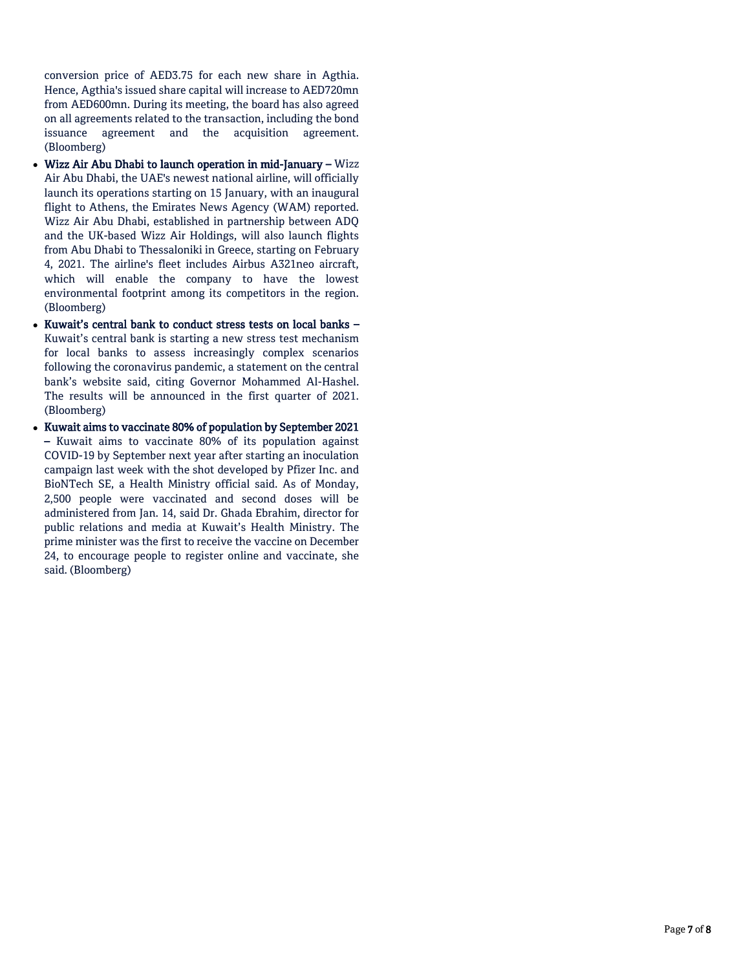conversion price of AED3.75 for each new share in Agthia. Hence, Agthia's issued share capital will increase to AED720mn from AED600mn. During its meeting, the board has also agreed on all agreements related to the transaction, including the bond issuance agreement and the acquisition agreement. (Bloomberg)

- Wizz Air Abu Dhabi to launch operation in mid-January Wizz Air Abu Dhabi, the UAE's newest national airline, will officially launch its operations starting on 15 January, with an inaugural flight to Athens, the Emirates News Agency (WAM) reported. Wizz Air Abu Dhabi, established in partnership between ADQ and the UK-based Wizz Air Holdings, will also launch flights from Abu Dhabi to Thessaloniki in Greece, starting on February 4, 2021. The airline's fleet includes Airbus A321neo aircraft, which will enable the company to have the lowest environmental footprint among its competitors in the region. (Bloomberg)
- Kuwait's central bank to conduct stress tests on local banks -Kuwait's central bank is starting a new stress test mechanism for local banks to assess increasingly complex scenarios following the coronavirus pandemic, a statement on the central bank's website said, citing Governor Mohammed Al-Hashel. The results will be announced in the first quarter of 2021. (Bloomberg)
- Kuwait aims to vaccinate 80% of population by September 2021 – Kuwait aims to vaccinate 80% of its population against COVID-19 by September next year after starting an inoculation campaign last week with the shot developed by Pfizer Inc. and BioNTech SE, a Health Ministry official said. As of Monday, 2,500 people were vaccinated and second doses will be administered from Jan. 14, said Dr. Ghada Ebrahim, director for public relations and media at Kuwait's Health Ministry. The prime minister was the first to receive the vaccine on December 24, to encourage people to register online and vaccinate, she said. (Bloomberg)